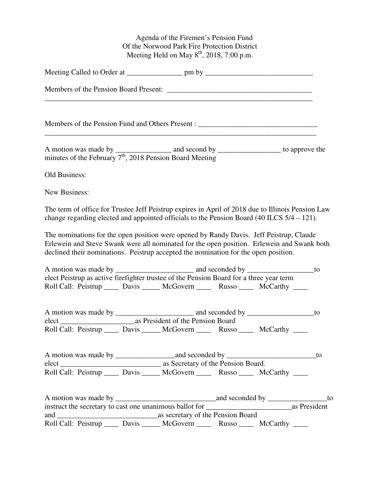Agenda of the Firemen's Pension Fund Of the Norwood Park Fire Protection District Meeting Held on May  $8<sup>th</sup>$ , 2018, 7:00 p.m.

| A motion was made by ___________ and second by ______________ to approve the minutes of the February $7th$ , 2018 Pension Board Meeting                                                                                                                                      |  |
|------------------------------------------------------------------------------------------------------------------------------------------------------------------------------------------------------------------------------------------------------------------------------|--|
| Old Business:                                                                                                                                                                                                                                                                |  |
| <b>New Business:</b>                                                                                                                                                                                                                                                         |  |
| The term of office for Trustee Jeff Peistrup expires in April of 2018 due to Illinois Pension Law<br>change regarding elected and appointed officials to the Pension Board (40 ILCS 5/4 – 121).                                                                              |  |
| The nominations for the open position were opened by Randy Davis. Jeff Peistrup, Claude<br>Erlewein and Steve Swank were all nominated for the open position. Erlewein and Swank both<br>declined their nominations. Peistrup accepted the nomination for the open position. |  |
| elect Peistrup as active firefighter trustee of the Pension Board for a three year term<br>Roll Call: Peistrup _____ Davis _____ McGovern _____ Russo _____ McCarthy ____                                                                                                    |  |
| Roll Call: Peistrup _____ Davis _____ McGovern _____ Russo _____ McCarthy ____                                                                                                                                                                                               |  |
| to                                                                                                                                                                                                                                                                           |  |
|                                                                                                                                                                                                                                                                              |  |